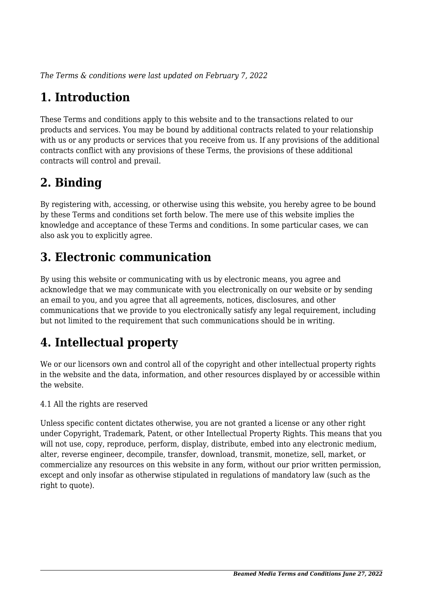*The Terms & conditions were last updated on February 7, 2022*

# **1. Introduction**

These Terms and conditions apply to this website and to the transactions related to our products and services. You may be bound by additional contracts related to your relationship with us or any products or services that you receive from us. If any provisions of the additional contracts conflict with any provisions of these Terms, the provisions of these additional contracts will control and prevail.

## **2. Binding**

By registering with, accessing, or otherwise using this website, you hereby agree to be bound by these Terms and conditions set forth below. The mere use of this website implies the knowledge and acceptance of these Terms and conditions. In some particular cases, we can also ask you to explicitly agree.

## **3. Electronic communication**

By using this website or communicating with us by electronic means, you agree and acknowledge that we may communicate with you electronically on our website or by sending an email to you, and you agree that all agreements, notices, disclosures, and other communications that we provide to you electronically satisfy any legal requirement, including but not limited to the requirement that such communications should be in writing.

# **4. Intellectual property**

We or our licensors own and control all of the copyright and other intellectual property rights in the website and the data, information, and other resources displayed by or accessible within the website.

4.1 All the rights are reserved

Unless specific content dictates otherwise, you are not granted a license or any other right under Copyright, Trademark, Patent, or other Intellectual Property Rights. This means that you will not use, copy, reproduce, perform, display, distribute, embed into any electronic medium, alter, reverse engineer, decompile, transfer, download, transmit, monetize, sell, market, or commercialize any resources on this website in any form, without our prior written permission, except and only insofar as otherwise stipulated in regulations of mandatory law (such as the right to quote).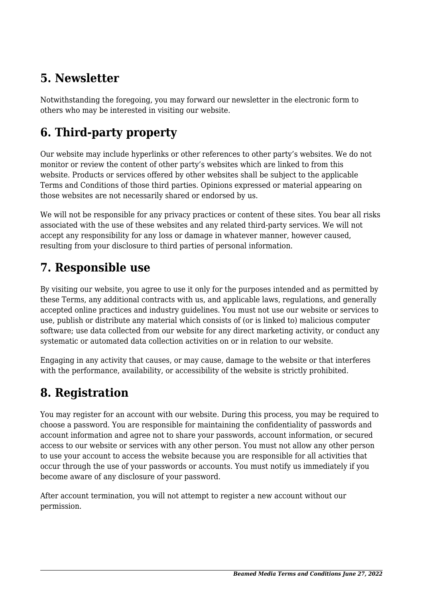## **5. Newsletter**

Notwithstanding the foregoing, you may forward our newsletter in the electronic form to others who may be interested in visiting our website.

# **6. Third-party property**

Our website may include hyperlinks or other references to other party's websites. We do not monitor or review the content of other party's websites which are linked to from this website. Products or services offered by other websites shall be subject to the applicable Terms and Conditions of those third parties. Opinions expressed or material appearing on those websites are not necessarily shared or endorsed by us.

We will not be responsible for any privacy practices or content of these sites. You bear all risks associated with the use of these websites and any related third-party services. We will not accept any responsibility for any loss or damage in whatever manner, however caused, resulting from your disclosure to third parties of personal information.

### **7. Responsible use**

By visiting our website, you agree to use it only for the purposes intended and as permitted by these Terms, any additional contracts with us, and applicable laws, regulations, and generally accepted online practices and industry guidelines. You must not use our website or services to use, publish or distribute any material which consists of (or is linked to) malicious computer software; use data collected from our website for any direct marketing activity, or conduct any systematic or automated data collection activities on or in relation to our website.

Engaging in any activity that causes, or may cause, damage to the website or that interferes with the performance, availability, or accessibility of the website is strictly prohibited.

## **8. Registration**

You may register for an account with our website. During this process, you may be required to choose a password. You are responsible for maintaining the confidentiality of passwords and account information and agree not to share your passwords, account information, or secured access to our website or services with any other person. You must not allow any other person to use your account to access the website because you are responsible for all activities that occur through the use of your passwords or accounts. You must notify us immediately if you become aware of any disclosure of your password.

After account termination, you will not attempt to register a new account without our permission.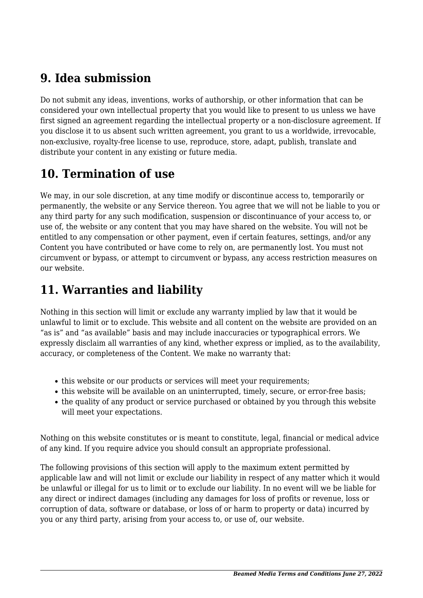### **9. Idea submission**

Do not submit any ideas, inventions, works of authorship, or other information that can be considered your own intellectual property that you would like to present to us unless we have first signed an agreement regarding the intellectual property or a non-disclosure agreement. If you disclose it to us absent such written agreement, you grant to us a worldwide, irrevocable, non-exclusive, royalty-free license to use, reproduce, store, adapt, publish, translate and distribute your content in any existing or future media.

## **10. Termination of use**

We may, in our sole discretion, at any time modify or discontinue access to, temporarily or permanently, the website or any Service thereon. You agree that we will not be liable to you or any third party for any such modification, suspension or discontinuance of your access to, or use of, the website or any content that you may have shared on the website. You will not be entitled to any compensation or other payment, even if certain features, settings, and/or any Content you have contributed or have come to rely on, are permanently lost. You must not circumvent or bypass, or attempt to circumvent or bypass, any access restriction measures on our website.

## **11. Warranties and liability**

Nothing in this section will limit or exclude any warranty implied by law that it would be unlawful to limit or to exclude. This website and all content on the website are provided on an "as is" and "as available" basis and may include inaccuracies or typographical errors. We expressly disclaim all warranties of any kind, whether express or implied, as to the availability, accuracy, or completeness of the Content. We make no warranty that:

- this website or our products or services will meet your requirements;
- this website will be available on an uninterrupted, timely, secure, or error-free basis;
- the quality of any product or service purchased or obtained by you through this website will meet your expectations.

Nothing on this website constitutes or is meant to constitute, legal, financial or medical advice of any kind. If you require advice you should consult an appropriate professional.

The following provisions of this section will apply to the maximum extent permitted by applicable law and will not limit or exclude our liability in respect of any matter which it would be unlawful or illegal for us to limit or to exclude our liability. In no event will we be liable for any direct or indirect damages (including any damages for loss of profits or revenue, loss or corruption of data, software or database, or loss of or harm to property or data) incurred by you or any third party, arising from your access to, or use of, our website.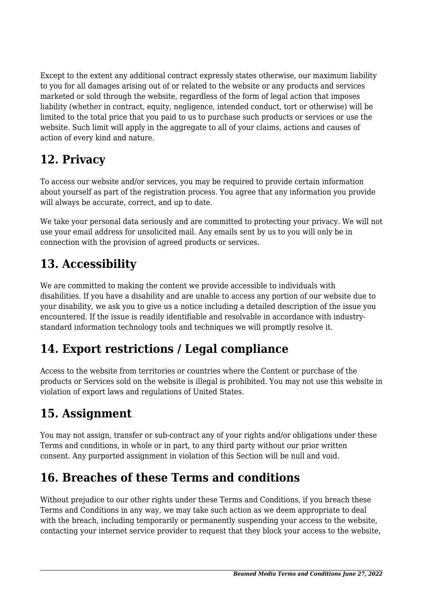Except to the extent any additional contract expressly states otherwise, our maximum liability to you for all damages arising out of or related to the website or any products and services marketed or sold through the website, regardless of the form of legal action that imposes liability (whether in contract, equity, negligence, intended conduct, tort or otherwise) will be limited to the total price that you paid to us to purchase such products or services or use the website. Such limit will apply in the aggregate to all of your claims, actions and causes of action of every kind and nature.

## **12. Privacy**

To access our website and/or services, you may be required to provide certain information about yourself as part of the registration process. You agree that any information you provide will always be accurate, correct, and up to date.

We take your personal data seriously and are committed to protecting your privacy. We will not use your email address for unsolicited mail. Any emails sent by us to you will only be in connection with the provision of agreed products or services.

# **13. Accessibility**

We are committed to making the content we provide accessible to individuals with disabilities. If you have a disability and are unable to access any portion of our website due to your disability, we ask you to give us a notice including a detailed description of the issue you encountered. If the issue is readily identifiable and resolvable in accordance with industrystandard information technology tools and techniques we will promptly resolve it.

# **14. Export restrictions / Legal compliance**

Access to the website from territories or countries where the Content or purchase of the products or Services sold on the website is illegal is prohibited. You may not use this website in violation of export laws and regulations of United States.

# **15. Assignment**

You may not assign, transfer or sub-contract any of your rights and/or obligations under these Terms and conditions, in whole or in part, to any third party without our prior written consent. Any purported assignment in violation of this Section will be null and void.

# **16. Breaches of these Terms and conditions**

Without prejudice to our other rights under these Terms and Conditions, if you breach these Terms and Conditions in any way, we may take such action as we deem appropriate to deal with the breach, including temporarily or permanently suspending your access to the website, contacting your internet service provider to request that they block your access to the website,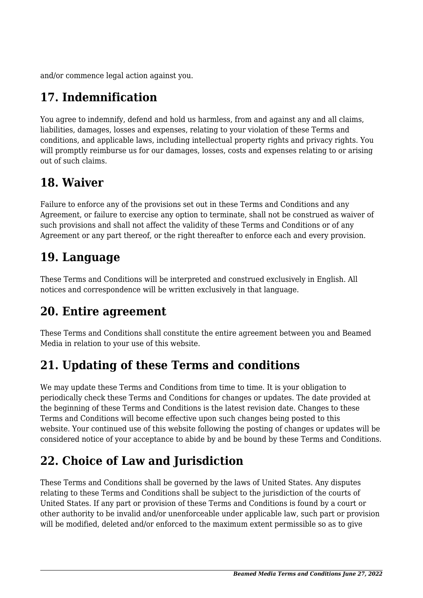and/or commence legal action against you.

# **17. Indemnification**

You agree to indemnify, defend and hold us harmless, from and against any and all claims, liabilities, damages, losses and expenses, relating to your violation of these Terms and conditions, and applicable laws, including intellectual property rights and privacy rights. You will promptly reimburse us for our damages, losses, costs and expenses relating to or arising out of such claims.

### **18. Waiver**

Failure to enforce any of the provisions set out in these Terms and Conditions and any Agreement, or failure to exercise any option to terminate, shall not be construed as waiver of such provisions and shall not affect the validity of these Terms and Conditions or of any Agreement or any part thereof, or the right thereafter to enforce each and every provision.

### **19. Language**

These Terms and Conditions will be interpreted and construed exclusively in English. All notices and correspondence will be written exclusively in that language.

### **20. Entire agreement**

These Terms and Conditions shall constitute the entire agreement between you and Beamed Media in relation to your use of this website.

# **21. Updating of these Terms and conditions**

We may update these Terms and Conditions from time to time. It is your obligation to periodically check these Terms and Conditions for changes or updates. The date provided at the beginning of these Terms and Conditions is the latest revision date. Changes to these Terms and Conditions will become effective upon such changes being posted to this website. Your continued use of this website following the posting of changes or updates will be considered notice of your acceptance to abide by and be bound by these Terms and Conditions.

# **22. Choice of Law and Jurisdiction**

These Terms and Conditions shall be governed by the laws of United States. Any disputes relating to these Terms and Conditions shall be subject to the jurisdiction of the courts of United States. If any part or provision of these Terms and Conditions is found by a court or other authority to be invalid and/or unenforceable under applicable law, such part or provision will be modified, deleted and/or enforced to the maximum extent permissible so as to give